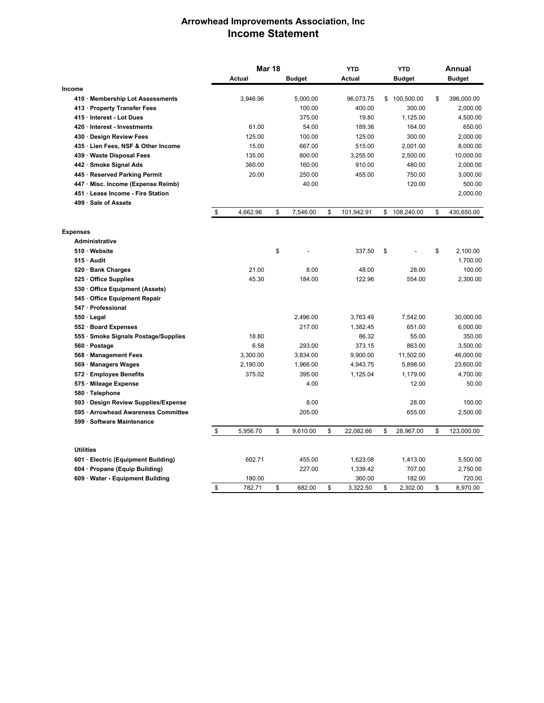## **Arrowhead Improvements Association, Inc Income Statement**

|                                      | <b>Mar 18</b>  |    |               | <b>YTD</b>       | <b>YTD</b> |               | Annual |               |
|--------------------------------------|----------------|----|---------------|------------------|------------|---------------|--------|---------------|
|                                      | Actual         |    | <b>Budget</b> | <b>Actual</b>    |            | <b>Budget</b> |        | <b>Budget</b> |
| Income                               |                |    |               |                  |            |               |        |               |
| 410 · Membership Lot Assessments     | 3,946.96       |    | 5,000.00      | 96,073.75        |            | \$100,500.00  | \$     | 396,000.00    |
| 413 · Property Transfer Fees         |                |    | 100.00        | 400.00           |            | 300.00        |        | 2,000.00      |
| 415 · Interest - Lot Dues            |                |    | 375.00        | 19.80            |            | 1,125.00      |        | 4,500.00      |
| 420 Interest - Investments           | 61.00          |    | 54.00         | 189.36           |            | 164.00        |        | 650.00        |
| 430 Design Review Fees               | 125.00         |    | 100.00        | 125.00           |            | 300.00        |        | 2,000.00      |
| 435 · Lien Fees, NSF & Other Income  | 15.00          |    | 667.00        | 515.00           |            | 2,001.00      |        | 8,000.00      |
| 439 Waste Disposal Fees              | 135.00         |    | 800.00        | 3,255.00         |            | 2,500.00      |        | 10,000.00     |
| 442 · Smoke Signal Ads               | 360.00         |    | 160.00        | 910.00           |            | 480.00        |        | 2,000.00      |
| 445 · Reserved Parking Permit        | 20.00          |    | 250.00        | 455.00           |            | 750.00        |        | 3,000.00      |
| 447 Misc. Income (Expense Reimb)     |                |    | 40.00         |                  |            | 120.00        |        | 500.00        |
| 451 Lease Income - Fire Station      |                |    |               |                  |            |               |        | 2,000.00      |
| 499 · Sale of Assets                 |                |    |               |                  |            |               |        |               |
|                                      | \$<br>4,662.96 | \$ | 7,546.00      | \$<br>101,942.91 | \$         | 108,240.00    | \$     | 430,650.00    |
| <b>Expenses</b>                      |                |    |               |                  |            |               |        |               |
| Administrative                       |                |    |               |                  |            |               |        |               |
| 510 Website                          |                | \$ |               | 337.50           | \$         |               | \$     | 2,100.00      |
| 515 Audit                            |                |    |               |                  |            |               |        | 1,700.00      |
| 520 · Bank Charges                   | 21.00          |    | 8.00          | 48.00            |            | 28.00         |        | 100.00        |
| 525 Office Supplies                  | 45.30          |    | 184.00        | 122.96           |            | 554.00        |        | 2,300.00      |
| 530 Office Equipment (Assets)        |                |    |               |                  |            |               |        |               |
| 545 Office Equipment Repair          |                |    |               |                  |            |               |        |               |
| 547 Professional                     |                |    |               |                  |            |               |        |               |
| $550 \cdot$ Legal                    |                |    | 2,496.00      | 3,763.49         |            | 7,542.00      |        | 30,000.00     |
| 552 · Board Expenses                 |                |    | 217.00        | 1,382.45         |            | 651.00        |        | 6,000.00      |
| 555 · Smoke Signals Postage/Supplies | 18.80          |    |               | 86.32            |            | 55.00         |        | 350.00        |
| 560 · Postage                        | 6.58           |    | 293.00        | 373.15           |            | 863.00        |        | 3,500.00      |
| 568 Management Fees                  | 3,300.00       |    | 3,834.00      | 9,900.00         |            | 11,502.00     |        | 46,000.00     |
| 569 · Managers Wages                 | 2,190.00       |    | 1,966.00      | 4,943.75         |            | 5,898.00      |        | 23,600.00     |
| 572 Employee Benefits                | 375.02         |    | 395.00        | 1,125.04         |            | 1,179.00      |        | 4,700.00      |
| 575 Mileage Expense                  |                |    | 4.00          |                  |            | 12.00         |        | 50.00         |
| 580 · Telephone                      |                |    |               |                  |            |               |        |               |
| 593 Design Review Supplies/Expense   |                |    | 8.00          |                  |            | 28.00         |        | 100.00        |
| 595 · Arrowhead Awareness Committee  |                |    | 205.00        |                  |            | 655.00        |        | 2,500.00      |
| 599 Software Maintenance             |                |    |               |                  |            |               |        |               |
|                                      | \$<br>5,956.70 | \$ | 9,610.00      | \$<br>22,082.66  | \$         | 28,967.00     | \$     | 123,000.00    |
| <b>Utilities</b>                     |                |    |               |                  |            |               |        |               |
| 601 · Electric (Equipment Building)  | 602.71         |    | 455.00        | 1,623.08         |            | 1,413.00      |        | 5,500.00      |
| 604 Propane (Equip Building)         |                |    | 227.00        | 1,339.42         |            | 707.00        |        | 2,750.00      |
| 609 Water - Equipment Building       | 180.00         |    |               | 360.00           |            | 182.00        |        | 720.00        |
|                                      | \$<br>782.71   | \$ | 682.00        | \$<br>3,322.50   | \$         | 2,302.00      | \$     | 8.970.00      |